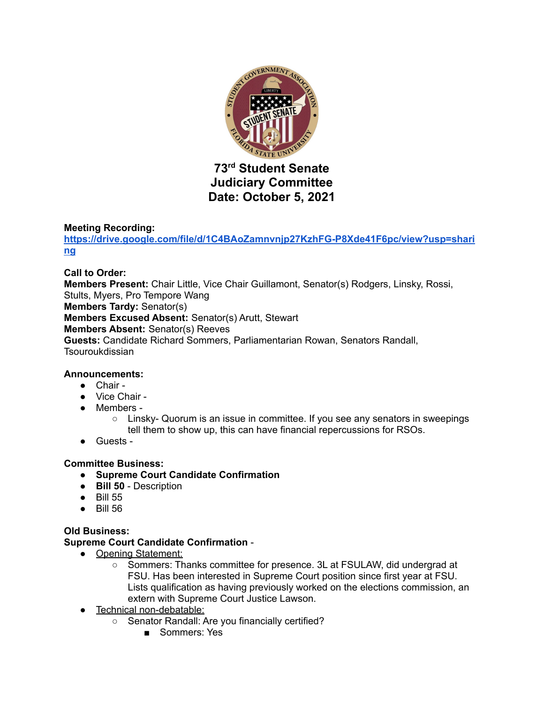

# **73 rd Student Senate Judiciary Committee Date: October 5, 2021**

# **Meeting Recording:**

**[https://drive.google.com/file/d/1C4BAoZamnvnjp27KzhFG-P8Xde41F6pc/view?usp=shari](https://drive.google.com/file/d/1C4BAoZamnvnjp27KzhFG-P8Xde41F6pc/view?usp=sharing) [ng](https://drive.google.com/file/d/1C4BAoZamnvnjp27KzhFG-P8Xde41F6pc/view?usp=sharing)**

#### **Call to Order:**

**Members Present:** Chair Little, Vice Chair Guillamont, Senator(s) Rodgers, Linsky, Rossi, Stults, Myers, Pro Tempore Wang

**Members Tardy:** Senator(s)

**Members Excused Absent:** Senator(s) Arutt, Stewart

**Members Absent:** Senator(s) Reeves

**Guests:** Candidate Richard Sommers, Parliamentarian Rowan, Senators Randall, **Tsouroukdissian** 

#### **Announcements:**

- Chair -
- Vice Chair -
- Members -

 $\circ$  Linsky- Quorum is an issue in committee. If you see any senators in sweepings tell them to show up, this can have financial repercussions for RSOs.

● Guests -

#### **Committee Business:**

- **● Supreme Court Candidate Confirmation**
- **● Bill 50** Description
- Bill 55
- Bill 56

#### **Old Business:**

# **Supreme Court Candidate Confirmation** -

- Opening Statement:
	- Sommers: Thanks committee for presence. 3L at FSULAW, did undergrad at FSU. Has been interested in Supreme Court position since first year at FSU. Lists qualification as having previously worked on the elections commission, an extern with Supreme Court Justice Lawson.
- Technical non-debatable:
	- Senator Randall: Are you financially certified?
		- Sommers: Yes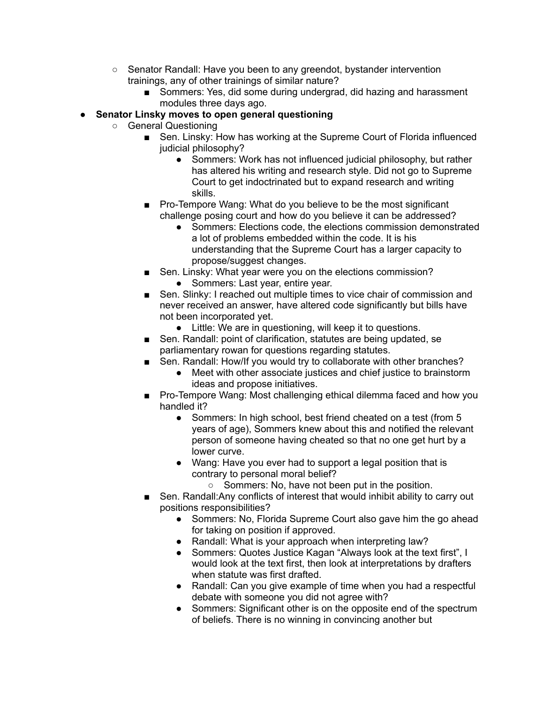- Senator Randall: Have you been to any greendot, bystander intervention trainings, any of other trainings of similar nature?
	- Sommers: Yes, did some during undergrad, did hazing and harassment modules three days ago.
- **● Senator Linsky moves to open general questioning**
	- General Questioning
		- Sen. Linsky: How has working at the Supreme Court of Florida influenced judicial philosophy?
			- Sommers: Work has not influenced judicial philosophy, but rather has altered his writing and research style. Did not go to Supreme Court to get indoctrinated but to expand research and writing skills.
		- Pro-Tempore Wang: What do you believe to be the most significant challenge posing court and how do you believe it can be addressed?
			- Sommers: Elections code, the elections commission demonstrated a lot of problems embedded within the code. It is his understanding that the Supreme Court has a larger capacity to propose/suggest changes.
		- Sen. Linsky: What year were you on the elections commission?
			- Sommers: Last year, entire year.
		- Sen. Slinky: I reached out multiple times to vice chair of commission and never received an answer, have altered code significantly but bills have not been incorporated yet.
			- Little: We are in questioning, will keep it to questions.
		- Sen. Randall: point of clarification, statutes are being updated, se parliamentary rowan for questions regarding statutes.
		- Sen. Randall: How/If you would try to collaborate with other branches?
			- Meet with other associate justices and chief justice to brainstorm ideas and propose initiatives.
		- Pro-Tempore Wang: Most challenging ethical dilemma faced and how you handled it?
			- Sommers: In high school, best friend cheated on a test (from 5 years of age), Sommers knew about this and notified the relevant person of someone having cheated so that no one get hurt by a lower curve.
			- Wang: Have you ever had to support a legal position that is contrary to personal moral belief?
				- Sommers: No, have not been put in the position.
		- Sen. Randall:Any conflicts of interest that would inhibit ability to carry out positions responsibilities?
			- Sommers: No, Florida Supreme Court also gave him the go ahead for taking on position if approved.
			- Randall: What is your approach when interpreting law?
			- Sommers: Quotes Justice Kagan "Always look at the text first", I would look at the text first, then look at interpretations by drafters when statute was first drafted.
			- Randall: Can you give example of time when you had a respectful debate with someone you did not agree with?
			- Sommers: Significant other is on the opposite end of the spectrum of beliefs. There is no winning in convincing another but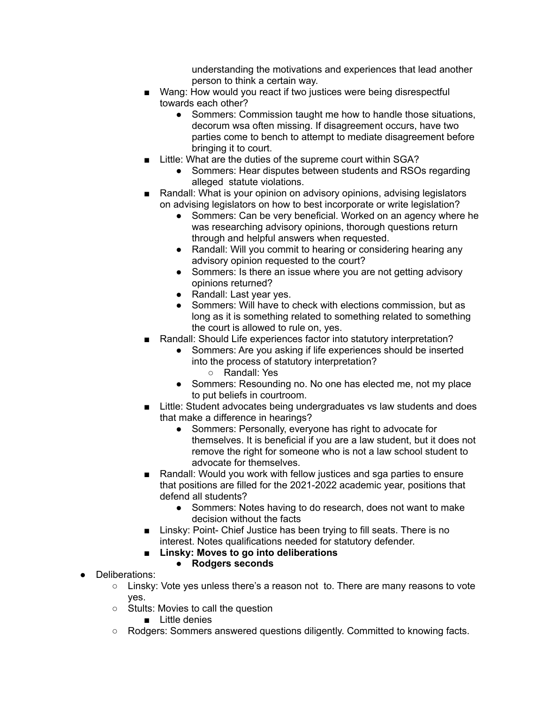understanding the motivations and experiences that lead another person to think a certain way.

- Wang: How would you react if two justices were being disrespectful towards each other?
	- Sommers: Commission taught me how to handle those situations, decorum wsa often missing. If disagreement occurs, have two parties come to bench to attempt to mediate disagreement before bringing it to court.
- Little: What are the duties of the supreme court within SGA?
	- Sommers: Hear disputes between students and RSOs regarding alleged statute violations.
- Randall: What is your opinion on advisory opinions, advising legislators on advising legislators on how to best incorporate or write legislation?
	- Sommers: Can be very beneficial. Worked on an agency where he was researching advisory opinions, thorough questions return through and helpful answers when requested.
	- Randall: Will you commit to hearing or considering hearing any advisory opinion requested to the court?
	- Sommers: Is there an issue where you are not getting advisory opinions returned?
	- Randall: Last year yes.
	- Sommers: Will have to check with elections commission, but as long as it is something related to something related to something the court is allowed to rule on, yes.
- Randall: Should Life experiences factor into statutory interpretation?
	- Sommers: Are you asking if life experiences should be inserted into the process of statutory interpretation?
		- Randall: Yes
	- Sommers: Resounding no. No one has elected me, not my place to put beliefs in courtroom.
- Little: Student advocates being undergraduates vs law students and does that make a difference in hearings?
	- Sommers: Personally, everyone has right to advocate for themselves. It is beneficial if you are a law student, but it does not remove the right for someone who is not a law school student to advocate for themselves.
- Randall: Would you work with fellow justices and sga parties to ensure that positions are filled for the 2021-2022 academic year, positions that defend all students?
	- Sommers: Notes having to do research, does not want to make decision without the facts
- Linsky: Point- Chief Justice has been trying to fill seats. There is no interest. Notes qualifications needed for statutory defender.
- **■ Linsky: Moves to go into deliberations**
	- **● Rodgers seconds**
- Deliberations:
	- Linsky: Vote yes unless there's a reason not to. There are many reasons to vote yes.
	- Stults: Movies to call the question
		- Little denies
	- Rodgers: Sommers answered questions diligently. Committed to knowing facts.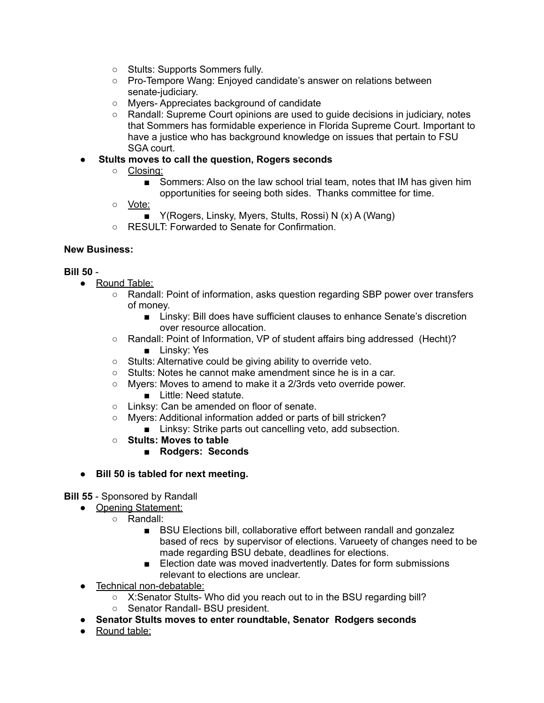- Stults: Supports Sommers fully.
- Pro-Tempore Wang: Enjoyed candidate's answer on relations between senate-judiciary.
- Myers- Appreciates background of candidate
- Randall: Supreme Court opinions are used to guide decisions in judiciary, notes that Sommers has formidable experience in Florida Supreme Court. Important to have a justice who has background knowledge on issues that pertain to FSU SGA court.

## ● **Stults moves to call the question, Rogers seconds**

- Closing:
	- Sommers: Also on the law school trial team, notes that IM has given him opportunities for seeing both sides. Thanks committee for time.
- Vote:
	- Y(Rogers, Linsky, Myers, Stults, Rossi) N (x) A (Wang)
- RESULT: Forwarded to Senate for Confirmation.

### **New Business:**

#### **Bill 50** -

- Round Table:
	- Randall: Point of information, asks question regarding SBP power over transfers of money.
		- Linsky: Bill does have sufficient clauses to enhance Senate's discretion over resource allocation.
	- Randall: Point of Information, VP of student affairs bing addressed (Hecht)? ■ Linsky: Yes
	- Stults: Alternative could be giving ability to override veto.
	- Stults: Notes he cannot make amendment since he is in a car.
	- Myers: Moves to amend to make it a 2/3rds veto override power.
		- Little: Need statute.
	- Linksy: Can be amended on floor of senate.
	- Myers: Additional information added or parts of bill stricken?
		- Linksy: Strike parts out cancelling veto, add subsection.
	- **○ Stults: Moves to table**
		- **■ Rodgers: Seconds**
- **● Bill 50 is tabled for next meeting.**

#### **Bill 55** - Sponsored by Randall

- Opening Statement:
	- Randall:
		- BSU Elections bill, collaborative effort between randall and gonzalez based of recs by supervisor of elections. Varueety of changes need to be made regarding BSU debate, deadlines for elections.
		- Election date was moved inadvertently. Dates for form submissions relevant to elections are unclear.
- Technical non-debatable:
	- X:Senator Stults- Who did you reach out to in the BSU regarding bill?
	- Senator Randall- BSU president.
- **● Senator Stults moves to enter roundtable, Senator Rodgers seconds**
- Round table: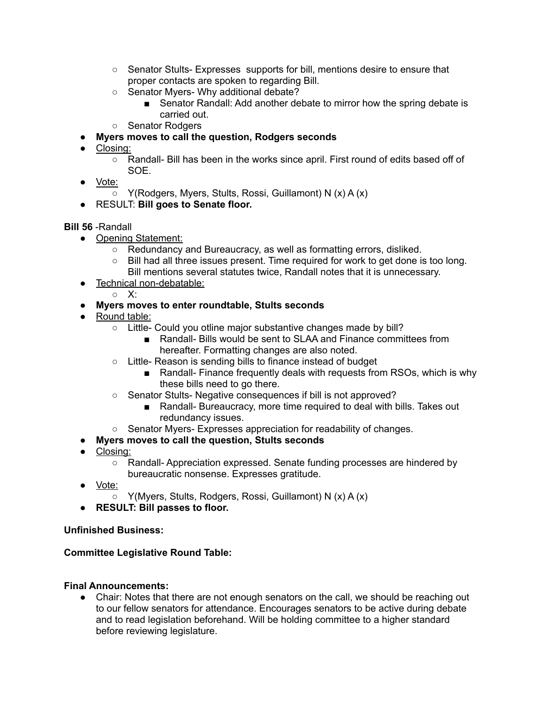- Senator Stults- Expresses supports for bill, mentions desire to ensure that proper contacts are spoken to regarding Bill.
- Senator Myers- Why additional debate?
	- Senator Randall: Add another debate to mirror how the spring debate is carried out.
- Senator Rodgers
- **● Myers moves to call the question, Rodgers seconds**
- Closing:
	- Randall- Bill has been in the works since april. First round of edits based off of SOE.
- Vote:
	- Y(Rodgers, Myers, Stults, Rossi, Guillamont) N (x) A (x)
- RESULT: **Bill goes to Senate floor.**

# **Bill 56** -Randall

- Opening Statement:
	- Redundancy and Bureaucracy, as well as formatting errors, disliked.
	- $\circ$  Bill had all three issues present. Time required for work to get done is too long. Bill mentions several statutes twice, Randall notes that it is unnecessary.
- Technical non-debatable:
	- X:
- **● Myers moves to enter roundtable, Stults seconds**
- Round table:
	- Little- Could you otline major substantive changes made by bill?
		- Randall- Bills would be sent to SLAA and Finance committees from hereafter. Formatting changes are also noted.
	- Little- Reason is sending bills to finance instead of budget
		- Randall- Finance frequently deals with requests from RSOs, which is why these bills need to go there.
	- Senator Stults- Negative consequences if bill is not approved?
		- Randall- Bureaucracy, more time required to deal with bills. Takes out redundancy issues.
	- Senator Myers- Expresses appreciation for readability of changes.
- **● Myers moves to call the question, Stults seconds**
- Closing:
	- Randall- Appreciation expressed. Senate funding processes are hindered by bureaucratic nonsense. Expresses gratitude.
- Vote:
	- Y(Myers, Stults, Rodgers, Rossi, Guillamont) N (x) A (x)
- **● RESULT: Bill passes to floor.**

#### **Unfinished Business:**

#### **Committee Legislative Round Table:**

#### **Final Announcements:**

• Chair: Notes that there are not enough senators on the call, we should be reaching out to our fellow senators for attendance. Encourages senators to be active during debate and to read legislation beforehand. Will be holding committee to a higher standard before reviewing legislature.